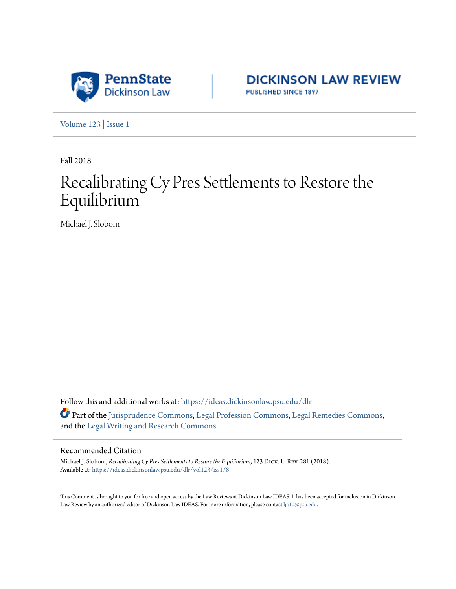

**DICKINSON LAW REVIEW** PUBLISHED SINCE 1897

[Volume 123](https://ideas.dickinsonlaw.psu.edu/dlr/vol123?utm_source=ideas.dickinsonlaw.psu.edu%2Fdlr%2Fvol123%2Fiss1%2F8&utm_medium=PDF&utm_campaign=PDFCoverPages) | [Issue 1](https://ideas.dickinsonlaw.psu.edu/dlr/vol123/iss1?utm_source=ideas.dickinsonlaw.psu.edu%2Fdlr%2Fvol123%2Fiss1%2F8&utm_medium=PDF&utm_campaign=PDFCoverPages)

Fall 2018

# Recalibrating Cy Pres Settlements to Restore the Equilibrium

Michael J. Slobom

Follow this and additional works at: [https://ideas.dickinsonlaw.psu.edu/dlr](https://ideas.dickinsonlaw.psu.edu/dlr?utm_source=ideas.dickinsonlaw.psu.edu%2Fdlr%2Fvol123%2Fiss1%2F8&utm_medium=PDF&utm_campaign=PDFCoverPages) Part of the [Jurisprudence Commons,](http://network.bepress.com/hgg/discipline/610?utm_source=ideas.dickinsonlaw.psu.edu%2Fdlr%2Fvol123%2Fiss1%2F8&utm_medium=PDF&utm_campaign=PDFCoverPages) [Legal Profession Commons,](http://network.bepress.com/hgg/discipline/1075?utm_source=ideas.dickinsonlaw.psu.edu%2Fdlr%2Fvol123%2Fiss1%2F8&utm_medium=PDF&utm_campaign=PDFCoverPages) [Legal Remedies Commons,](http://network.bepress.com/hgg/discipline/618?utm_source=ideas.dickinsonlaw.psu.edu%2Fdlr%2Fvol123%2Fiss1%2F8&utm_medium=PDF&utm_campaign=PDFCoverPages) and the [Legal Writing and Research Commons](http://network.bepress.com/hgg/discipline/614?utm_source=ideas.dickinsonlaw.psu.edu%2Fdlr%2Fvol123%2Fiss1%2F8&utm_medium=PDF&utm_campaign=PDFCoverPages)

#### Recommended Citation

Michael J. Slobom, *Recalibrating Cy Pres Settlements to Restore the Equilibrium*, 123 Dick. L. Rev. 281 (2018). Available at: [https://ideas.dickinsonlaw.psu.edu/dlr/vol123/iss1/8](https://ideas.dickinsonlaw.psu.edu/dlr/vol123/iss1/8?utm_source=ideas.dickinsonlaw.psu.edu%2Fdlr%2Fvol123%2Fiss1%2F8&utm_medium=PDF&utm_campaign=PDFCoverPages)

This Comment is brought to you for free and open access by the Law Reviews at Dickinson Law IDEAS. It has been accepted for inclusion in Dickinson Law Review by an authorized editor of Dickinson Law IDEAS. For more information, please contact [lja10@psu.edu](mailto:lja10@psu.edu).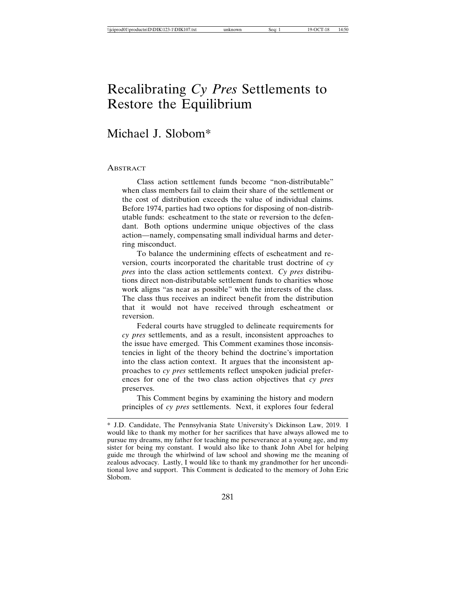## Recalibrating *Cy Pres* Settlements to Restore the Equilibrium

### Michael J. Slobom\*

#### **ABSTRACT**

Class action settlement funds become "non-distributable" when class members fail to claim their share of the settlement or the cost of distribution exceeds the value of individual claims. Before 1974, parties had two options for disposing of non-distributable funds: escheatment to the state or reversion to the defendant. Both options undermine unique objectives of the class action—namely, compensating small individual harms and deterring misconduct.

To balance the undermining effects of escheatment and reversion, courts incorporated the charitable trust doctrine of *cy pres* into the class action settlements context. *Cy pres* distributions direct non-distributable settlement funds to charities whose work aligns "as near as possible" with the interests of the class. The class thus receives an indirect benefit from the distribution that it would not have received through escheatment or reversion.

Federal courts have struggled to delineate requirements for *cy pres* settlements, and as a result, inconsistent approaches to the issue have emerged. This Comment examines those inconsistencies in light of the theory behind the doctrine's importation into the class action context. It argues that the inconsistent approaches to *cy pres* settlements reflect unspoken judicial preferences for one of the two class action objectives that *cy pres* preserves.

This Comment begins by examining the history and modern principles of *cy pres* settlements. Next, it explores four federal

<sup>\*</sup> J.D. Candidate, The Pennsylvania State University's Dickinson Law, 2019. I would like to thank my mother for her sacrifices that have always allowed me to pursue my dreams, my father for teaching me perseverance at a young age, and my sister for being my constant. I would also like to thank John Abel for helping guide me through the whirlwind of law school and showing me the meaning of zealous advocacy. Lastly, I would like to thank my grandmother for her unconditional love and support. This Comment is dedicated to the memory of John Eric Slobom.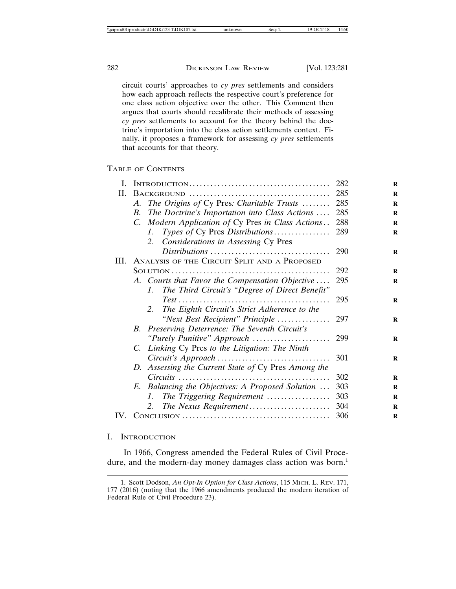circuit courts' approaches to *cy pres* settlements and considers how each approach reflects the respective court's preference for one class action objective over the other. This Comment then argues that courts should recalibrate their methods of assessing *cy pres* settlements to account for the theory behind the doctrine's importation into the class action settlements context. Finally, it proposes a framework for assessing *cy pres* settlements that accounts for that theory.

#### TABLE OF CONTENTS

| Ι. |                                                                   | 282 |
|----|-------------------------------------------------------------------|-----|
| П. |                                                                   | 285 |
|    | The Origins of Cy Pres: Charitable Trusts<br>А.                   | 285 |
|    | The Doctrine's Importation into Class Actions<br><i>B</i> .       | 285 |
|    | C. Modern Application of Cy Pres in Class Actions                 | 288 |
|    | Types of Cy Pres Distributions<br>$\mathcal{I}$ .                 | 289 |
|    | Considerations in Assessing Cy Pres<br>2.                         |     |
|    |                                                                   | 290 |
|    | III. ANALYSIS OF THE CIRCUIT SPLIT AND A PROPOSED                 |     |
|    |                                                                   | 292 |
|    | A. Courts that Favor the Compensation Objective                   | 295 |
|    | The Third Circuit's "Degree of Direct Benefit"<br>$\mathcal{I}$ . |     |
|    |                                                                   | 295 |
|    | 2. The Eighth Circuit's Strict Adherence to the                   |     |
|    | "Next Best Recipient" Principle                                   | 297 |
|    | B. Preserving Deterrence: The Seventh Circuit's                   |     |
|    | "Purely Punitive" Approach                                        | 299 |
|    | C. Linking Cy Pres to the Litigation: The Ninth                   |     |
|    |                                                                   | 301 |
|    | D. Assessing the Current State of Cy Pres Among the               |     |
|    |                                                                   | 302 |
|    | E. Balancing the Objectives: A Proposed Solution                  | 303 |
|    | The Triggering Requirement<br>L                                   | 303 |
|    | The Nexus Requirement<br>2.                                       | 304 |
|    |                                                                   |     |

#### I. INTRODUCTION

In 1966, Congress amended the Federal Rules of Civil Procedure, and the modern-day money damages class action was born.<sup>1</sup>

<sup>1.</sup> Scott Dodson, *An Opt-In Option for Class Actions*, 115 MICH. L. REV. 171, 177 (2016) (noting that the 1966 amendments produced the modern iteration of Federal Rule of Civil Procedure 23).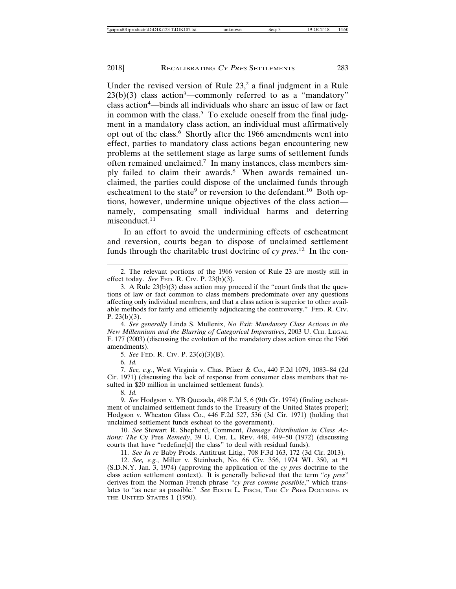Under the revised version of Rule  $23$ ,<sup>2</sup> a final judgment in a Rule  $23(b)(3)$  class action<sup>3</sup>—commonly referred to as a "mandatory" class action<sup>4</sup>—binds all individuals who share an issue of law or fact in common with the class.<sup>5</sup> To exclude oneself from the final judgment in a mandatory class action, an individual must affirmatively opt out of the class.<sup>6</sup> Shortly after the 1966 amendments went into effect, parties to mandatory class actions began encountering new problems at the settlement stage as large sums of settlement funds often remained unclaimed.7 In many instances, class members simply failed to claim their awards.<sup>8</sup> When awards remained unclaimed, the parties could dispose of the unclaimed funds through escheatment to the state<sup>9</sup> or reversion to the defendant.<sup>10</sup> Both options, however, undermine unique objectives of the class action namely, compensating small individual harms and deterring misconduct.<sup>11</sup>

In an effort to avoid the undermining effects of escheatment and reversion, courts began to dispose of unclaimed settlement funds through the charitable trust doctrine of *cy pres*. 12 In the con-

4. *See generally* Linda S. Mullenix, *No Exit: Mandatory Class Actions in the New Millennium and the Blurring of Categorical Imperatives*, 2003 U. CHI. LEGAL F. 177 (2003) (discussing the evolution of the mandatory class action since the 1966 amendments).

5. *See* FED. R. CIV. P. 23(c)(3)(B).

6. *Id.*

7. *See, e.g.*, West Virginia v. Chas. Pfizer & Co., 440 F.2d 1079, 1083–84 (2d Cir. 1971) (discussing the lack of response from consumer class members that resulted in \$20 million in unclaimed settlement funds).

8. *Id.*

9. *See* Hodgson v. YB Quezada, 498 F.2d 5, 6 (9th Cir. 1974) (finding escheatment of unclaimed settlement funds to the Treasury of the United States proper); Hodgson v. Wheaton Glass Co., 446 F.2d 527, 536 (3d Cir. 1971) (holding that unclaimed settlement funds escheat to the government).

10. *See* Stewart R. Shepherd, Comment, *Damage Distribution in Class Actions: The* Cy Pres *Remedy*, 39 U. CHI. L. REV. 448, 449–50 (1972) (discussing courts that have "redefine[d] the class" to deal with residual funds).

11. *See In re* Baby Prods. Antitrust Litig., 708 F.3d 163, 172 (3d Cir. 2013).

12. *See, e.g.*, Miller v. Steinbach, No. 66 Civ. 356, 1974 WL 350, at \*1 (S.D.N.Y. Jan. 3, 1974) (approving the application of the *cy pres* doctrine to the class action settlement context). It is generally believed that the term "*cy pres*" derives from the Norman French phrase *"cy pres comme possible*," which translates to "as near as possible." *See* EDITH L. FISCH, THE CY PRES DOCTRINE IN THE UNITED STATES 1 (1950).

<sup>2.</sup> The relevant portions of the 1966 version of Rule 23 are mostly still in effect today. *See* FED. R. CIV. P. 23(b)(3).

<sup>3.</sup> A Rule 23(b)(3) class action may proceed if the "court finds that the questions of law or fact common to class members predominate over any questions affecting only individual members, and that a class action is superior to other available methods for fairly and efficiently adjudicating the controversy." FED. R. Civ. P.  $23(b)(3)$ .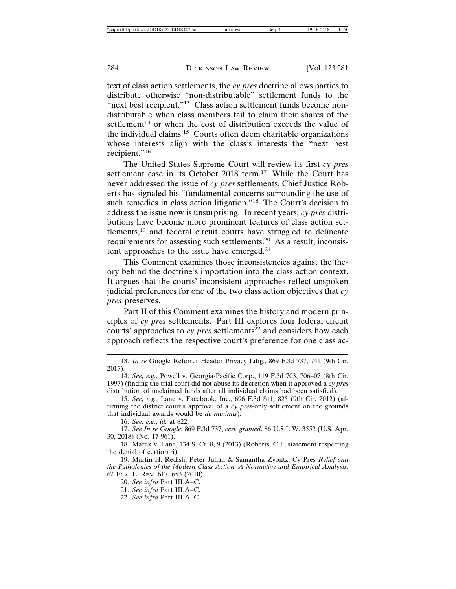text of class action settlements, the *cy pres* doctrine allows parties to distribute otherwise "non-distributable" settlement funds to the "next best recipient."<sup>13</sup> Class action settlement funds become nondistributable when class members fail to claim their shares of the settlement<sup>14</sup> or when the cost of distribution exceeds the value of the individual claims.15 Courts often deem charitable organizations whose interests align with the class's interests the "next best recipient."<sup>16</sup>

The United States Supreme Court will review its first *cy pres* settlement case in its October 2018 term.<sup>17</sup> While the Court has never addressed the issue of *cy pres* settlements, Chief Justice Roberts has signaled his "fundamental concerns surrounding the use of such remedies in class action litigation."<sup>18</sup> The Court's decision to address the issue now is unsurprising. In recent years, *cy pres* distributions have become more prominent features of class action settlements,19 and federal circuit courts have struggled to delineate requirements for assessing such settlements.20 As a result, inconsistent approaches to the issue have emerged.<sup>21</sup>

This Comment examines those inconsistencies against the theory behind the doctrine's importation into the class action context. It argues that the courts' inconsistent approaches reflect unspoken judicial preferences for one of the two class action objectives that *cy pres* preserves.

Part II of this Comment examines the history and modern principles of *cy pres* settlements. Part III explores four federal circuit courts' approaches to  $cy$  *pres* settlements<sup>22</sup> and considers how each approach reflects the respective court's preference for one class ac-

16. *See, e.g.*, *id.* at 822.

17. *See In re Google*, 869 F.3d 737, *cert. granted*, 86 U.S.L.W. 3552 (U.S. Apr. 30, 2018) (No. 17-961).

18. Marek v. Lane, 134 S. Ct. 8, 9 (2013) (Roberts, C.J., statement respecting the denial of certiorari).

19. Martin H. Redish, Peter Julian & Samantha Zyontz, Cy Pres *Relief and the Pathologies of the Modern Class Action: A Normative and Empirical Analysis*, 62 FLA. L. REV. 617, 653 (2010).

20. *See infra* Part III.A–C.

21. *See infra* Part III.A–C.

22. *See infra* Part III.A–C.

<sup>13.</sup> *In re* Google Referrer Header Privacy Litig., 869 F.3d 737, 741 (9th Cir. 2017).

<sup>14.</sup> *See, e.g.*, Powell v. Georgia-Pacific Corp., 119 F.3d 703, 706–07 (8th Cir. 1997) (finding the trial court did not abuse its discretion when it approved a *cy pres* distribution of unclaimed funds after all individual claims had been satisfied).

<sup>15.</sup> *See, e.g.*, Lane v. Facebook, Inc., 696 F.3d 811, 825 (9th Cir. 2012) (affirming the district court's approval of a *cy pres*-only settlement on the grounds that individual awards would be *de minimis*).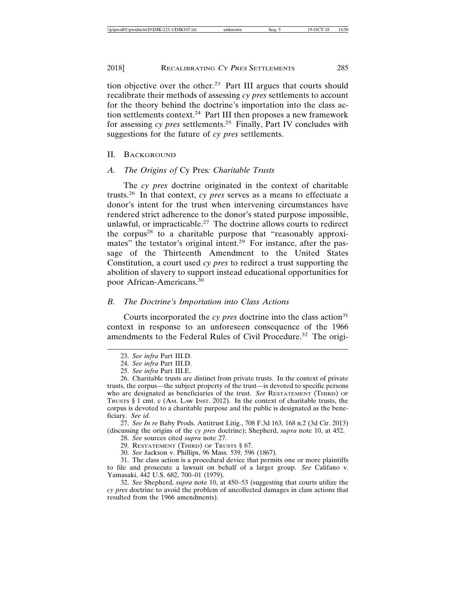tion objective over the other.23 Part III argues that courts should recalibrate their methods of assessing *cy pres* settlements to account for the theory behind the doctrine's importation into the class action settlements context.24 Part III then proposes a new framework for assessing *cy pres* settlements.25 Finally, Part IV concludes with suggestions for the future of *cy pres* settlements.

#### II. BACKGROUND

#### *A. The Origins of* Cy Pres*: Charitable Trusts*

The *cy pres* doctrine originated in the context of charitable trusts.26 In that context, *cy pres* serves as a means to effectuate a donor's intent for the trust when intervening circumstances have rendered strict adherence to the donor's stated purpose impossible, unlawful, or impracticable.<sup>27</sup> The doctrine allows courts to redirect the corpus<sup>28</sup> to a charitable purpose that "reasonably approximates" the testator's original intent.<sup>29</sup> For instance, after the passage of the Thirteenth Amendment to the United States Constitution, a court used *cy pres* to redirect a trust supporting the abolition of slavery to support instead educational opportunities for poor African-Americans.<sup>30</sup>

#### *B. The Doctrine's Importation into Class Actions*

Courts incorporated the  $cy$  *pres* doctrine into the class action<sup>31</sup> context in response to an unforeseen consequence of the 1966 amendments to the Federal Rules of Civil Procedure.<sup>32</sup> The origi-

27. *See In re* Baby Prods. Antitrust Litig., 708 F.3d 163, 168 n.2 (3d Cir. 2013) (discussing the origins of the *cy pres* doctrine); Shepherd, *supra* note 10, at 452.

- 29. RESTATEMENT (THIRD) OF TRUSTS § 67.
- 30. *See* Jackson v. Phillips, 96 Mass. 539, 596 (1867).

31. The class action is a procedural device that permits one or more plaintiffs to file and prosecute a lawsuit on behalf of a larger group. *See* Califano v. Yamasaki, 442 U.S. 682, 700–01 (1979).

32. *See* Shepherd, *supra* note 10, at 450–53 (suggesting that courts utilize the *cy pres* doctrine to avoid the problem of uncollected damages in class actions that resulted from the 1966 amendments).

<sup>23.</sup> *See infra* Part III.D.

<sup>24.</sup> *See infra* Part III.D.

<sup>25.</sup> *See infra* Part III.E.

<sup>26.</sup> Charitable trusts are distinct from private trusts. In the context of private trusts, the corpus—the subject property of the trust—is devoted to specific persons who are designated as beneficiaries of the trust. *See* RESTATEMENT (THIRD) OF TRUSTS § 1 cmt. c (AM. LAW INST. 2012). In the context of charitable trusts, the corpus is devoted to a charitable purpose and the public is designated as the beneficiary. *See id.*

<sup>28.</sup> *See* sources cited *supra* note 27.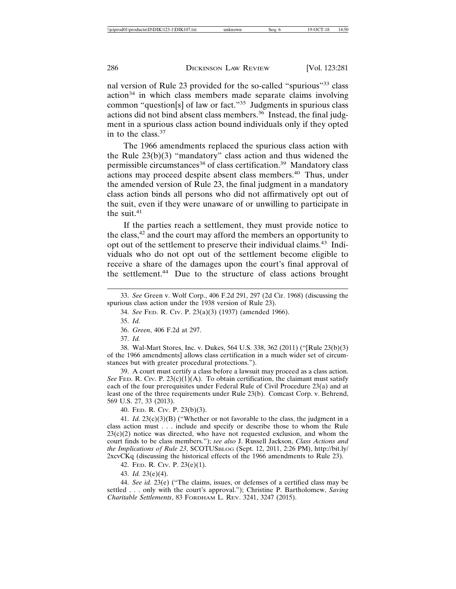nal version of Rule 23 provided for the so-called "spurious"33 class  $action<sup>34</sup>$  in which class members made separate claims involving common "question[s] of law or fact."35 Judgments in spurious class actions did not bind absent class members.<sup>36</sup> Instead, the final judgment in a spurious class action bound individuals only if they opted in to the class. $37$ 

The 1966 amendments replaced the spurious class action with the Rule  $23(b)(3)$  "mandatory" class action and thus widened the permissible circumstances<sup>38</sup> of class certification.<sup>39</sup> Mandatory class actions may proceed despite absent class members.40 Thus, under the amended version of Rule 23, the final judgment in a mandatory class action binds all persons who did not affirmatively opt out of the suit, even if they were unaware of or unwilling to participate in the suit.<sup>41</sup>

If the parties reach a settlement, they must provide notice to the class,42 and the court may afford the members an opportunity to opt out of the settlement to preserve their individual claims.43 Individuals who do not opt out of the settlement become eligible to receive a share of the damages upon the court's final approval of the settlement.<sup>44</sup> Due to the structure of class actions brought

37. *Id.*

38. Wal-Mart Stores, Inc. v. Dukes, 564 U.S. 338, 362 (2011) ("[Rule 23(b)(3) of the 1966 amendments] allows class certification in a much wider set of circumstances but with greater procedural protections.").

39. A court must certify a class before a lawsuit may proceed as a class action. *See* FED. R. CIV. P.  $23(c)(1)(A)$ . To obtain certification, the claimant must satisfy each of the four prerequisites under Federal Rule of Civil Procedure 23(a) and at least one of the three requirements under Rule 23(b). Comcast Corp. v. Behrend, 569 U.S. 27, 33 (2013).

40. FED. R. CIV. P. 23(b)(3).

41. *Id.* 23(c)(3)(B) ("Whether or not favorable to the class, the judgment in a class action must . . . include and specify or describe those to whom the Rule  $23(c)(2)$  notice was directed, who have not requested exclusion, and whom the court finds to be class members."); *see also* J. Russell Jackson, *Class Actions and the Implications of Rule 23*, SCOTUSBLOG (Sept. 12, 2011, 2:26 PM), http://bit.ly/ 2xcvCKq (discussing the historical effects of the 1966 amendments to Rule 23).

42. FED. R. CIV. P. 23(e)(1).

43. *Id.* 23(e)(4).

44. *See id.* 23(e) ("The claims, issues, or defenses of a certified class may be settled . . . only with the court's approval."); Christine P. Bartholomew, *Saving Charitable Settlements*, 83 FORDHAM L. REV. 3241, 3247 (2015).

<sup>33.</sup> *See* Green v. Wolf Corp., 406 F.2d 291, 297 (2d Cir. 1968) (discussing the spurious class action under the 1938 version of Rule 23).

<sup>34.</sup> *See* FED. R. CIV. P. 23(a)(3) (1937) (amended 1966).

<sup>35.</sup> *Id.*

<sup>36.</sup> *Green*, 406 F.2d at 297.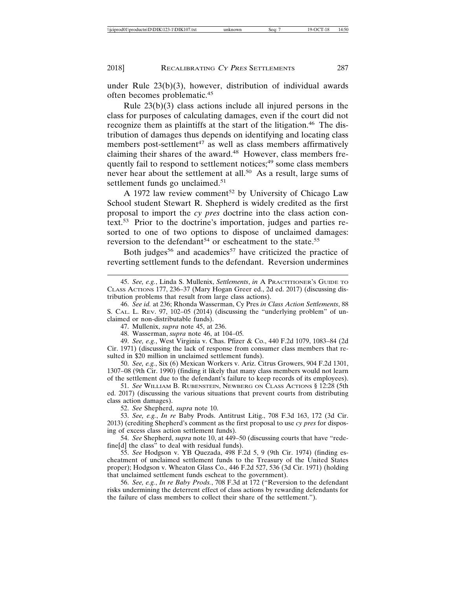under Rule 23(b)(3), however, distribution of individual awards often becomes problematic.45

Rule 23(b)(3) class actions include all injured persons in the class for purposes of calculating damages, even if the court did not recognize them as plaintiffs at the start of the litigation.<sup>46</sup> The distribution of damages thus depends on identifying and locating class members post-settlement<sup>47</sup> as well as class members affirmatively claiming their shares of the award.<sup>48</sup> However, class members frequently fail to respond to settlement notices;<sup>49</sup> some class members never hear about the settlement at all.<sup>50</sup> As a result, large sums of settlement funds go unclaimed.<sup>51</sup>

A 1972 law review comment<sup>52</sup> by University of Chicago Law School student Stewart R. Shepherd is widely credited as the first proposal to import the *cy pres* doctrine into the class action context.53 Prior to the doctrine's importation, judges and parties resorted to one of two options to dispose of unclaimed damages: reversion to the defendant<sup>54</sup> or escheatment to the state.<sup>55</sup>

Both judges<sup>56</sup> and academics<sup>57</sup> have criticized the practice of reverting settlement funds to the defendant. Reversion undermines

46. *See id.* at 236; Rhonda Wasserman, Cy Pres *in Class Action Settlements*, 88 S. CAL. L. REV. 97, 102–05 (2014) (discussing the "underlying problem" of unclaimed or non-distributable funds).

47. Mullenix, *supra* note 45, at 236.

48. Wasserman, *supra* note 46, at 104–05*.*

49. *See, e.g.*, West Virginia v. Chas. Pfizer & Co., 440 F.2d 1079, 1083–84 (2d Cir. 1971) (discussing the lack of response from consumer class members that resulted in \$20 million in unclaimed settlement funds).

50. *See, e.g.*, Six (6) Mexican Workers v. Ariz. Citrus Growers, 904 F.2d 1301, 1307–08 (9th Cir. 1990) (finding it likely that many class members would not learn of the settlement due to the defendant's failure to keep records of its employees).

51. *See* WILLIAM B. RUBENSTEIN, NEWBERG ON CLASS ACTIONS § 12:28 (5th ed. 2017) (discussing the various situations that prevent courts from distributing class action damages).

52. *See* Shepherd, *supra* note 10.

53. *See, e.g.*, *In re* Baby Prods. Antitrust Litig., 708 F.3d 163, 172 (3d Cir. 2013) (crediting Shepherd's comment as the first proposal to use *cy pres* for disposing of excess class action settlement funds).

54. *See* Shepherd, *supra* note 10, at 449–50 (discussing courts that have "redefine[d] the class" to deal with residual funds).

55. *See* Hodgson v. YB Quezada, 498 F.2d 5, 9 (9th Cir. 1974) (finding escheatment of unclaimed settlement funds to the Treasury of the United States proper); Hodgson v. Wheaton Glass Co., 446 F.2d 527, 536 (3d Cir. 1971) (holding that unclaimed settlement funds escheat to the government).

56. *See, e.g.*, *In re Baby Prods.*, 708 F.3d at 172 ("Reversion to the defendant risks undermining the deterrent effect of class actions by rewarding defendants for the failure of class members to collect their share of the settlement.").

<sup>45.</sup> *See, e.g.*, Linda S. Mullenix, *Settlements*, *in* A PRACTITIONER'S GUIDE TO CLASS ACTIONS 177, 236–37 (Mary Hogan Greer ed., 2d ed. 2017) (discussing distribution problems that result from large class actions).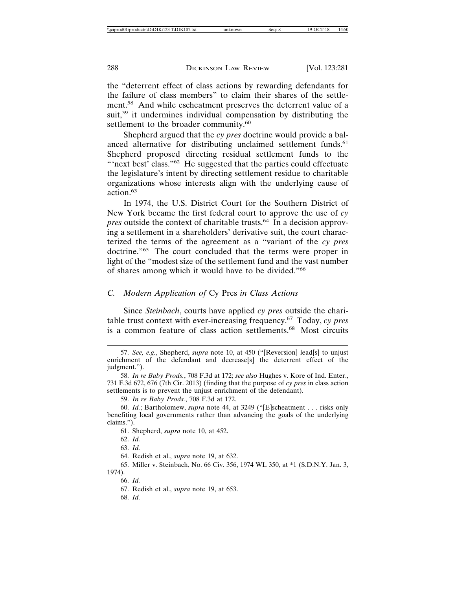the "deterrent effect of class actions by rewarding defendants for the failure of class members" to claim their shares of the settlement.58 And while escheatment preserves the deterrent value of a suit,<sup>59</sup> it undermines individual compensation by distributing the settlement to the broader community.<sup>60</sup>

Shepherd argued that the *cy pres* doctrine would provide a balanced alternative for distributing unclaimed settlement funds.<sup>61</sup> Shepherd proposed directing residual settlement funds to the "'next best' class."<sup>62</sup> He suggested that the parties could effectuate the legislature's intent by directing settlement residue to charitable organizations whose interests align with the underlying cause of action.63

In 1974, the U.S. District Court for the Southern District of New York became the first federal court to approve the use of *cy pres* outside the context of charitable trusts.<sup>64</sup> In a decision approving a settlement in a shareholders' derivative suit, the court characterized the terms of the agreement as a "variant of the *cy pres* doctrine."65 The court concluded that the terms were proper in light of the "modest size of the settlement fund and the vast number of shares among which it would have to be divided."66

#### *C. Modern Application of* Cy Pres *in Class Actions*

Since *Steinbach*, courts have applied *cy pres* outside the charitable trust context with ever-increasing frequency.67 Today, *cy pres* is a common feature of class action settlements.68 Most circuits

60. *Id.*; Bartholomew, *supra* note 44, at 3249 ("[E]scheatment . . . risks only benefiting local governments rather than advancing the goals of the underlying claims.").

61. Shepherd, *supra* note 10, at 452.

64. Redish et al., *supra* note 19, at 632.

65. Miller v. Steinbach, No. 66 Civ. 356, 1974 WL 350, at \*1 (S.D.N.Y. Jan. 3, 1974).

66. *Id.*

67. Redish et al., *supra* note 19, at 653.

68. *Id.*

<sup>57.</sup> *See, e.g.*, Shepherd, *supra* note 10, at 450 ("[Reversion] lead[s] to unjust enrichment of the defendant and decrease[s] the deterrent effect of the judgment.").

<sup>58.</sup> *In re Baby Prods.*, 708 F.3d at 172; *see also* Hughes v. Kore of Ind. Enter., 731 F.3d 672, 676 (7th Cir. 2013) (finding that the purpose of *cy pres* in class action settlements is to prevent the unjust enrichment of the defendant).

<sup>59.</sup> *In re Baby Prods.*, 708 F.3d at 172.

<sup>62.</sup> *Id.*

<sup>63.</sup> *Id.*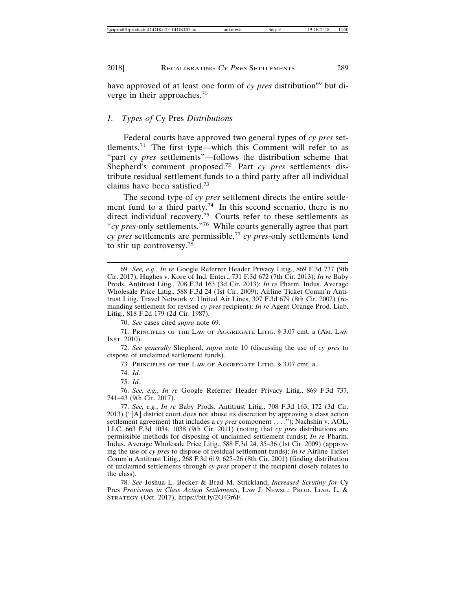have approved of at least one form of *cy pres* distribution<sup>69</sup> but diverge in their approaches.<sup>70</sup>

#### *1. Types of* Cy Pres *Distributions*

Federal courts have approved two general types of *cy pres* settlements.71 The first type—which this Comment will refer to as "part *cy pres* settlements"—follows the distribution scheme that Shepherd's comment proposed.72 Part *cy pres* settlements distribute residual settlement funds to a third party after all individual claims have been satisfied.73

The second type of *cy pres* settlement directs the entire settlement fund to a third party.<sup>74</sup> In this second scenario, there is no direct individual recovery.<sup>75</sup> Courts refer to these settlements as "*cy pres*-only settlements."76 While courts generally agree that part *cy pres* settlements are permissible,<sup>77</sup> *cy pres*-only settlements tend to stir up controversy.<sup>78</sup>

70. *See* cases cited *supra* note 69.

71. PRINCIPLES OF THE LAW OF AGGREGATE LITIG. § 3.07 cmt. a (AM. LAW INST. 2010).

72. *See generally* Shepherd, *supra* note 10 (discussing the use of *cy pres* to dispose of unclaimed settlement funds).

73. PRINCIPLES OF THE LAW OF AGGREGATE LITIG. § 3.07 cmt. a.

74. *Id.*

75. *Id.*

76. *See, e.g.*, *In re* Google Referrer Header Privacy Litig., 869 F.3d 737, 741–43 (9th Cir. 2017).

77. *See, e.g.*, *In re* Baby Prods. Antitrust Litig., 708 F.3d 163, 172 (3d Cir. 2013) ("[A] district court does not abuse its discretion by approving a class action settlement agreement that includes a *cy pres* component . . . ."); Nachshin v. AOL, LLC, 663 F.3d 1034, 1038 (9th Cir. 2011) (noting that *cy pres* distributions are permissible methods for disposing of unclaimed settlement funds); *In re* Pharm. Indus. Average Wholesale Price Litig., 588 F.3d 24, 35–36 (1st Cir. 2009) (approving the use of *cy pres* to dispose of residual settlement funds); *In re* Airline Ticket Comm'n Antitrust Litig., 268 F.3d 619, 625–26 (8th Cir. 2001) (finding distribution of unclaimed settlements through *cy pres* proper if the recipient closely relates to the class).

78. *See* Joshua L. Becker & Brad M. Strickland, *Increased Scrutiny for* Cy Pres *Provisions in Class Action Settlements*, LAW J. NEWSL.: PROD. LIAB. L. & STRATEGY (Oct. 2017), https://bit.ly/2O43r6F.

<sup>69.</sup> *See, e.g.*, *In re* Google Referrer Header Privacy Litig., 869 F.3d 737 (9th Cir. 2017); Hughes v. Kore of Ind. Enter., 731 F.3d 672 (7th Cir. 2013); *In re* Baby Prods. Antitrust Litig., 708 F.3d 163 (3d Cir. 2013); *In re* Pharm. Indus. Average Wholesale Price Litig., 588 F.3d 24 (1st Cir. 2009); Airline Ticket Comm'n Antitrust Litig. Travel Network v. United Air Lines, 307 F.3d 679 (8th Cir. 2002) (remanding settlement for revised *cy pres* recipient); *In re* Agent Orange Prod. Liab. Litig., 818 F.2d 179 (2d Cir. 1987).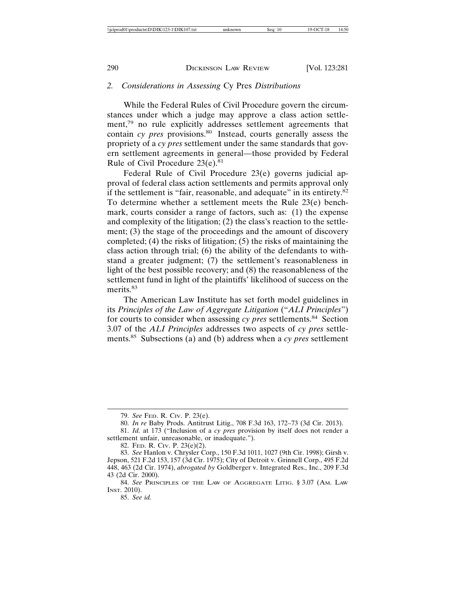#### *2. Considerations in Assessing* Cy Pres *Distributions*

While the Federal Rules of Civil Procedure govern the circumstances under which a judge may approve a class action settlement,<sup>79</sup> no rule explicitly addresses settlement agreements that contain *cy pres* provisions.<sup>80</sup> Instead, courts generally assess the propriety of a *cy pres* settlement under the same standards that govern settlement agreements in general—those provided by Federal Rule of Civil Procedure  $23(e).$ <sup>81</sup>

Federal Rule of Civil Procedure 23(e) governs judicial approval of federal class action settlements and permits approval only if the settlement is "fair, reasonable, and adequate" in its entirety.<sup>82</sup> To determine whether a settlement meets the Rule 23(e) benchmark, courts consider a range of factors, such as: (1) the expense and complexity of the litigation; (2) the class's reaction to the settlement; (3) the stage of the proceedings and the amount of discovery completed; (4) the risks of litigation; (5) the risks of maintaining the class action through trial; (6) the ability of the defendants to withstand a greater judgment; (7) the settlement's reasonableness in light of the best possible recovery; and (8) the reasonableness of the settlement fund in light of the plaintiffs' likelihood of success on the merits.<sup>83</sup>

The American Law Institute has set forth model guidelines in its *Principles of the Law of Aggregate Litigation* ("*ALI Principles*") for courts to consider when assessing *cy pres* settlements.84 Section 3.07 of the *ALI Principles* addresses two aspects of *cy pres* settlements.85 Subsections (a) and (b) address when a *cy pres* settlement

85. *See id.*

<sup>79.</sup> *See* FED. R. CIV. P. 23(e).

<sup>80.</sup> *In re* Baby Prods. Antitrust Litig., 708 F.3d 163, 172–73 (3d Cir. 2013).

<sup>81.</sup> *Id.* at 173 ("Inclusion of a *cy pres* provision by itself does not render a settlement unfair, unreasonable, or inadequate.").

<sup>82.</sup> FED. R. CIV. P. 23(e)(2).

<sup>83.</sup> *See* Hanlon v. Chrysler Corp., 150 F.3d 1011, 1027 (9th Cir. 1998); Girsh v. Jepson, 521 F.2d 153, 157 (3d Cir. 1975); City of Detroit v. Grinnell Corp., 495 F.2d 448, 463 (2d Cir. 1974), *abrogated by* Goldberger v. Integrated Res., Inc., 209 F.3d 43 (2d Cir. 2000).

<sup>84.</sup> *See* PRINCIPLES OF THE LAW OF AGGREGATE LITIG. § 3.07 (AM. LAW INST. 2010).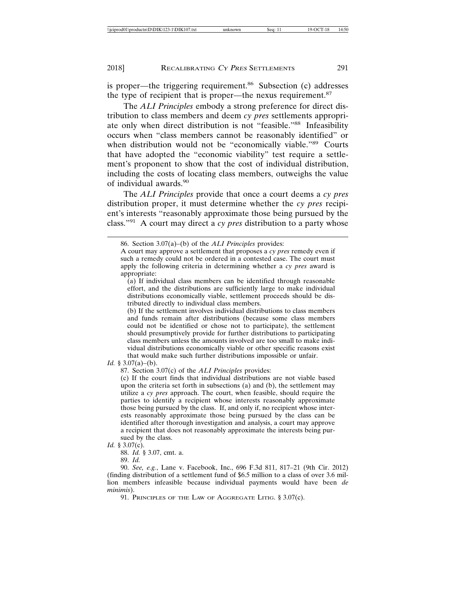is proper—the triggering requirement.<sup>86</sup> Subsection (c) addresses the type of recipient that is proper—the nexus requirement.<sup>87</sup>

The *ALI Principles* embody a strong preference for direct distribution to class members and deem *cy pres* settlements appropriate only when direct distribution is not "feasible."<sup>88</sup> Infeasibility occurs when "class members cannot be reasonably identified" or when distribution would not be "economically viable."<sup>89</sup> Courts that have adopted the "economic viability" test require a settlement's proponent to show that the cost of individual distribution, including the costs of locating class members, outweighs the value of individual awards.<sup>90</sup>

The *ALI Principles* provide that once a court deems a *cy pres* distribution proper, it must determine whether the *cy pres* recipient's interests "reasonably approximate those being pursued by the class."91 A court may direct a *cy pres* distribution to a party whose

(b) If the settlement involves individual distributions to class members and funds remain after distributions (because some class members could not be identified or chose not to participate), the settlement should presumptively provide for further distributions to participating class members unless the amounts involved are too small to make individual distributions economically viable or other specific reasons exist that would make such further distributions impossible or unfair.

*Id.* § 3.07(a)–(b).

87. Section 3.07(c) of the *ALI Principles* provides:

(c) If the court finds that individual distributions are not viable based upon the criteria set forth in subsections (a) and (b), the settlement may utilize a *cy pres* approach. The court, when feasible, should require the parties to identify a recipient whose interests reasonably approximate those being pursued by the class. If, and only if, no recipient whose interests reasonably approximate those being pursued by the class can be identified after thorough investigation and analysis, a court may approve a recipient that does not reasonably approximate the interests being pursued by the class.

*Id.* § 3.07(c).

88. *Id.* § 3.07, cmt. a.

89. *Id.*

90. *See, e.g.*, Lane v. Facebook, Inc., 696 F.3d 811, 817–21 (9th Cir. 2012) (finding distribution of a settlement fund of \$6.5 million to a class of over 3.6 million members infeasible because individual payments would have been *de minimis*).

91. PRINCIPLES OF THE LAW OF AGGREGATE LITIG. § 3.07(c).

<sup>86.</sup> Section 3.07(a)–(b) of the *ALI Principles* provides:

A court may approve a settlement that proposes a *cy pres* remedy even if such a remedy could not be ordered in a contested case. The court must apply the following criteria in determining whether a *cy pres* award is appropriate:

<sup>(</sup>a) If individual class members can be identified through reasonable effort, and the distributions are sufficiently large to make individual distributions economically viable, settlement proceeds should be distributed directly to individual class members.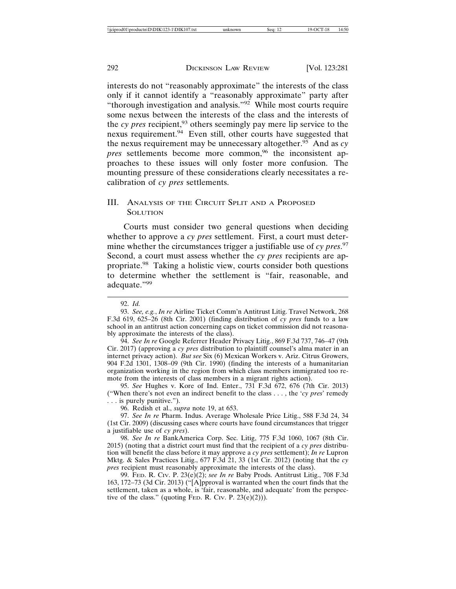interests do not "reasonably approximate" the interests of the class only if it cannot identify a "reasonably approximate" party after "thorough investigation and analysis."92 While most courts require some nexus between the interests of the class and the interests of the *cy pres* recipient,<sup>93</sup> others seemingly pay mere lip service to the nexus requirement.94 Even still, other courts have suggested that the nexus requirement may be unnecessary altogether.95 And as *cy pres* settlements become more common,<sup>96</sup> the inconsistent approaches to these issues will only foster more confusion. The mounting pressure of these considerations clearly necessitates a recalibration of *cy pres* settlements.

#### III. ANALYSIS OF THE CIRCUIT SPLIT AND A PROPOSED **SOLUTION**

Courts must consider two general questions when deciding whether to approve a *cy pres* settlement. First, a court must determine whether the circumstances trigger a justifiable use of *cy pres*. 97 Second, a court must assess whether the *cy pres* recipients are appropriate.98 Taking a holistic view, courts consider both questions to determine whether the settlement is "fair, reasonable, and adequate."99

94. *See In re* Google Referrer Header Privacy Litig., 869 F.3d 737, 746–47 (9th Cir. 2017) (approving a *cy pres* distribution to plaintiff counsel's alma mater in an internet privacy action). *But see* Six (6) Mexican Workers v. Ariz. Citrus Growers, 904 F.2d 1301, 1308–09 (9th Cir. 1990) (finding the interests of a humanitarian organization working in the region from which class members immigrated too remote from the interests of class members in a migrant rights action).

95. *See* Hughes v. Kore of Ind. Enter., 731 F.3d 672, 676 (7th Cir. 2013) ("When there's not even an indirect benefit to the class . . . , the '*cy pres*' remedy . . . is purely punitive.").

96. Redish et al., *supra* note 19, at 653.

97. *See In re* Pharm. Indus. Average Wholesale Price Litig., 588 F.3d 24, 34 (1st Cir. 2009) (discussing cases where courts have found circumstances that trigger a justifiable use of *cy pres*).

98. *See In re* BankAmerica Corp. Sec. Litig, 775 F.3d 1060, 1067 (8th Cir. 2015) (noting that a district court must find that the recipient of a *cy pres* distribution will benefit the class before it may approve a *cy pres* settlement); *In re* Lupron Mktg. & Sales Practices Litig., 677 F.3d 21, 33 (1st Cir. 2012) (noting that the *cy pres* recipient must reasonably approximate the interests of the class).

99. FED. R. CIV. P. 23(e)(2); *see In re* Baby Prods. Antitrust Litig., 708 F.3d 163, 172–73 (3d Cir. 2013) ("[A]pproval is warranted when the court finds that the settlement, taken as a whole, is 'fair, reasonable, and adequate' from the perspective of the class." (quoting FED. R. CIV. P.  $23(e)(2)$ )).

<sup>92.</sup> *Id.*

<sup>93.</sup> *See, e.g.*, *In re* Airline Ticket Comm'n Antitrust Litig. Travel Network, 268 F.3d 619, 625–26 (8th Cir. 2001) (finding distribution of *cy pres* funds to a law school in an antitrust action concerning caps on ticket commission did not reasonably approximate the interests of the class).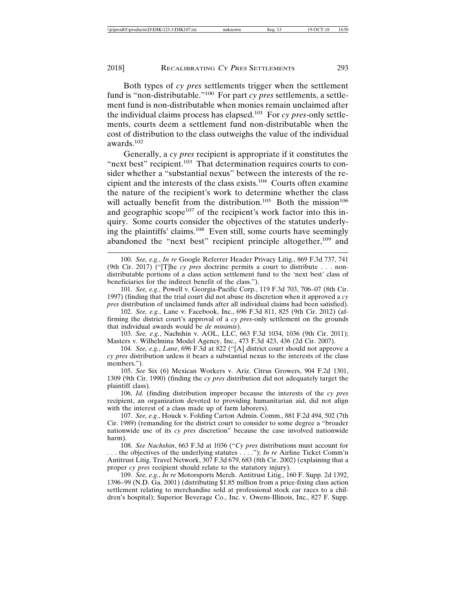Both types of *cy pres* settlements trigger when the settlement fund is "non-distributable."100 For part *cy pres* settlements, a settlement fund is non-distributable when monies remain unclaimed after the individual claims process has elapsed.101 For *cy pres*-only settlements, courts deem a settlement fund non-distributable when the cost of distribution to the class outweighs the value of the individual awards.102

Generally, a *cy pres* recipient is appropriate if it constitutes the "next best" recipient.<sup>103</sup> That determination requires courts to consider whether a "substantial nexus" between the interests of the recipient and the interests of the class exists.104 Courts often examine the nature of the recipient's work to determine whether the class will actually benefit from the distribution.<sup>105</sup> Both the mission<sup>106</sup> and geographic scope $107$  of the recipient's work factor into this inquiry. Some courts consider the objectives of the statutes underlying the plaintiffs' claims.108 Even still, some courts have seemingly abandoned the "next best" recipient principle altogether,<sup>109</sup> and

101. *See, e.g.*, Powell v. Georgia-Pacific Corp., 119 F.3d 703, 706–07 (8th Cir. 1997) (finding that the trial court did not abuse its discretion when it approved a *cy pres* distribution of unclaimed funds after all individual claims had been satisfied).

102. *See, e.g.*, Lane v. Facebook, Inc., 696 F.3d 811, 825 (9th Cir. 2012) (affirming the district court's approval of a *cy pres*-only settlement on the grounds that individual awards would be *de minimis*).

103. *See, e.g.*, Nachshin v. AOL, LLC, 663 F.3d 1034, 1036 (9th Cir. 2011); Masters v. Wilhelmina Model Agency, Inc., 473 F.3d 423, 436 (2d Cir. 2007).

104. *See, e.g.*, *Lane*, 696 F.3d at 822 ("[A] district court should not approve a *cy pres* distribution unless it bears a substantial nexus to the interests of the class members.").

105. *See* Six (6) Mexican Workers v. Ariz. Citrus Growers, 904 F.2d 1301, 1309 (9th Cir. 1990) (finding the *cy pres* distribution did not adequately target the plaintiff class).

106. *Id.* (finding distribution improper because the interests of the *cy pres* recipient, an organization devoted to providing humanitarian aid, did not align with the interest of a class made up of farm laborers).

107. *See, e.g.*, Houck v. Folding Carton Admin. Comm., 881 F.2d 494, 502 (7th Cir. 1989) (remanding for the district court to consider to some degree a "broader nationwide use of its *cy pres* discretion" because the case involved nationwide harm).

108. *See Nachshin*, 663 F.3d at 1036 ("*Cy pres* distributions must account for . . . the objectives of the underlying statutes . . . ."); *In re* Airline Ticket Comm'n Antitrust Litig. Travel Network, 307 F.3d 679, 683 (8th Cir. 2002) (explaining that a proper *cy pres* recipient should relate to the statutory injury).

109. *See, e.g.*, *In re* Motorsports Merch. Antitrust Litig., 160 F. Supp. 2d 1392, 1396–99 (N.D. Ga. 2001) (distributing \$1.85 million from a price-fixing class action settlement relating to merchandise sold at professional stock car races to a children's hospital); Superior Beverage Co., Inc. v. Owens-Illinois, Inc., 827 F. Supp.

<sup>100.</sup> *See, e.g.*, *In re* Google Referrer Header Privacy Litig., 869 F.3d 737, 741 (9th Cir. 2017) ("[T]he *cy pres* doctrine permits a court to distribute . . . nondistributable portions of a class action settlement fund to the 'next best' class of beneficiaries for the indirect benefit of the class.").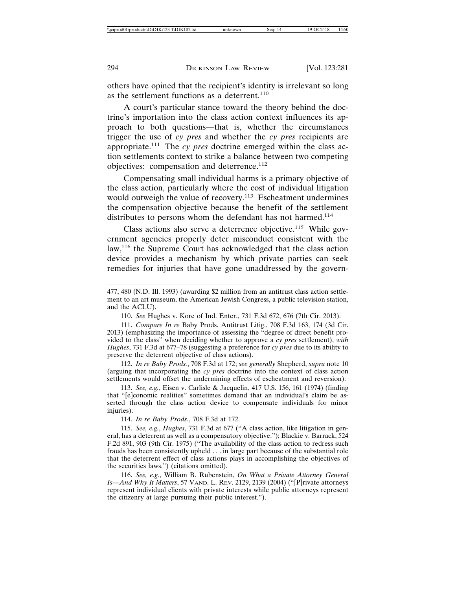others have opined that the recipient's identity is irrelevant so long as the settlement functions as a deterrent.<sup>110</sup>

A court's particular stance toward the theory behind the doctrine's importation into the class action context influences its approach to both questions—that is, whether the circumstances trigger the use of *cy pres* and whether the *cy pres* recipients are appropriate.111 The *cy pres* doctrine emerged within the class action settlements context to strike a balance between two competing objectives: compensation and deterrence.<sup>112</sup>

Compensating small individual harms is a primary objective of the class action, particularly where the cost of individual litigation would outweigh the value of recovery.<sup>113</sup> Escheatment undermines the compensation objective because the benefit of the settlement distributes to persons whom the defendant has not harmed.<sup>114</sup>

Class actions also serve a deterrence objective.<sup>115</sup> While government agencies properly deter misconduct consistent with the law,<sup>116</sup> the Supreme Court has acknowledged that the class action device provides a mechanism by which private parties can seek remedies for injuries that have gone unaddressed by the govern-

111. *Compare In re* Baby Prods. Antitrust Litig., 708 F.3d 163, 174 (3d Cir. 2013) (emphasizing the importance of assessing the "degree of direct benefit provided to the class" when deciding whether to approve a *cy pres* settlement), *with Hughes*, 731 F.3d at 677–78 (suggesting a preference for *cy pres* due to its ability to preserve the deterrent objective of class actions).

112. *In re Baby Prods.*, 708 F.3d at 172; *see generally* Shepherd, *supra* note 10 (arguing that incorporating the *cy pres* doctrine into the context of class action settlements would offset the undermining effects of escheatment and reversion).

113. *See, e.g.*, Eisen v. Carlisle & Jacquelin, 417 U.S. 156, 161 (1974) (finding that "[e]conomic realities" sometimes demand that an individual's claim be asserted through the class action device to compensate individuals for minor injuries).

114. *In re Baby Prods.*, 708 F.3d at 172.

115. *See, e.g.*, *Hughes*, 731 F.3d at 677 ("A class action, like litigation in general, has a deterrent as well as a compensatory objective."); Blackie v. Barrack, 524 F.2d 891, 903 (9th Cir. 1975) ("The availability of the class action to redress such frauds has been consistently upheld . . . in large part because of the substantial role that the deterrent effect of class actions plays in accomplishing the objectives of the securities laws.") (citations omitted).

116. *See, e.g.*, William B. Rubenstein, *On What a Private Attorney General Is—And Why It Matters*, 57 VAND. L. REV. 2129, 2139 (2004) ("[P]rivate attorneys represent individual clients with private interests while public attorneys represent the citizenry at large pursuing their public interest.").

<sup>477, 480 (</sup>N.D. Ill. 1993) (awarding \$2 million from an antitrust class action settlement to an art museum, the American Jewish Congress, a public television station, and the ACLU).

<sup>110.</sup> *See* Hughes v. Kore of Ind. Enter., 731 F.3d 672, 676 (7th Cir. 2013).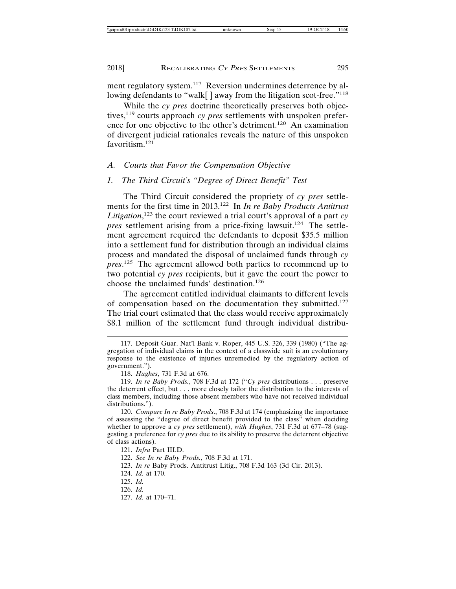ment regulatory system.<sup>117</sup> Reversion undermines deterrence by allowing defendants to "walk[] away from the litigation scot-free."<sup>118</sup>

While the *cy pres* doctrine theoretically preserves both objectives,119 courts approach *cy pres* settlements with unspoken preference for one objective to the other's detriment.<sup>120</sup> An examination of divergent judicial rationales reveals the nature of this unspoken favoritism.121

#### *A. Courts that Favor the Compensation Objective*

#### *1. The Third Circuit's "Degree of Direct Benefit" Test*

The Third Circuit considered the propriety of *cy pres* settlements for the first time in 2013.122 In *In re Baby Products Antitrust Litigation*, 123 the court reviewed a trial court's approval of a part *cy pres* settlement arising from a price-fixing lawsuit.<sup>124</sup> The settlement agreement required the defendants to deposit \$35.5 million into a settlement fund for distribution through an individual claims process and mandated the disposal of unclaimed funds through *cy pres*. 125 The agreement allowed both parties to recommend up to two potential *cy pres* recipients, but it gave the court the power to choose the unclaimed funds' destination.<sup>126</sup>

The agreement entitled individual claimants to different levels of compensation based on the documentation they submitted.<sup>127</sup> The trial court estimated that the class would receive approximately \$8.1 million of the settlement fund through individual distribu-

<sup>117.</sup> Deposit Guar. Nat'l Bank v. Roper, 445 U.S. 326, 339 (1980) ("The aggregation of individual claims in the context of a classwide suit is an evolutionary response to the existence of injuries unremedied by the regulatory action of government.").

<sup>118.</sup> *Hughes*, 731 F.3d at 676.

<sup>119.</sup> *In re Baby Prods.*, 708 F.3d at 172 ("*Cy pres* distributions . . . preserve the deterrent effect, but . . . more closely tailor the distribution to the interests of class members, including those absent members who have not received individual distributions.").

<sup>120.</sup> *Compare In re Baby Prods*., 708 F.3d at 174 (emphasizing the importance of assessing the "degree of direct benefit provided to the class" when deciding whether to approve a *cy pres* settlement), *with Hughes*, 731 F.3d at 677–78 (suggesting a preference for *cy pres* due to its ability to preserve the deterrent objective of class actions).

<sup>121.</sup> *Infra* Part III.D.

<sup>122.</sup> *See In re Baby Prods.*, 708 F.3d at 171.

<sup>123.</sup> *In re* Baby Prods. Antitrust Litig., 708 F.3d 163 (3d Cir. 2013).

<sup>124.</sup> *Id.* at 170.

<sup>125.</sup> *Id.*

<sup>126.</sup> *Id.*

<sup>127.</sup> *Id.* at 170–71.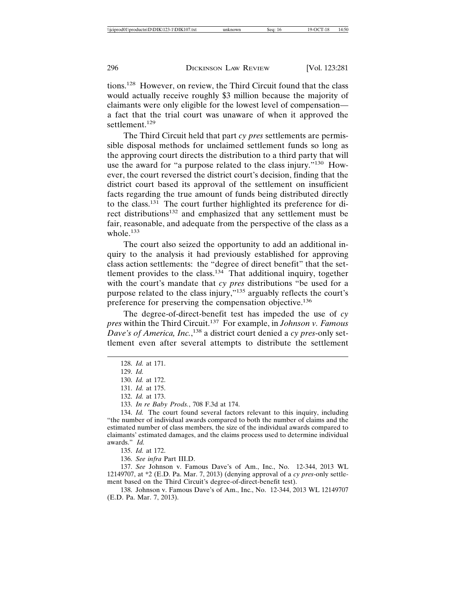tions.128 However, on review, the Third Circuit found that the class would actually receive roughly \$3 million because the majority of claimants were only eligible for the lowest level of compensation a fact that the trial court was unaware of when it approved the settlement.<sup>129</sup>

The Third Circuit held that part *cy pres* settlements are permissible disposal methods for unclaimed settlement funds so long as the approving court directs the distribution to a third party that will use the award for "a purpose related to the class injury."<sup>130</sup> However, the court reversed the district court's decision, finding that the district court based its approval of the settlement on insufficient facts regarding the true amount of funds being distributed directly to the class.<sup>131</sup> The court further highlighted its preference for direct distributions132 and emphasized that any settlement must be fair, reasonable, and adequate from the perspective of the class as a whole.<sup>133</sup>

The court also seized the opportunity to add an additional inquiry to the analysis it had previously established for approving class action settlements: the "degree of direct benefit" that the settlement provides to the class.<sup>134</sup> That additional inquiry, together with the court's mandate that *cy pres* distributions "be used for a purpose related to the class injury,"135 arguably reflects the court's preference for preserving the compensation objective.<sup>136</sup>

The degree-of-direct-benefit test has impeded the use of *cy pres* within the Third Circuit.137 For example, in *Johnson v. Famous Dave's of America, Inc.*, 138 a district court denied a *cy pres*-only settlement even after several attempts to distribute the settlement

135. *Id.* at 172.

136. *See infra* Part III.D.

137. *See* Johnson v. Famous Dave's of Am., Inc., No. 12-344, 2013 WL 12149707, at \*2 (E.D. Pa. Mar. 7, 2013) (denying approval of a *cy pres*-only settlement based on the Third Circuit's degree-of-direct-benefit test).

138. Johnson v. Famous Dave's of Am., Inc., No. 12-344, 2013 WL 12149707 (E.D. Pa. Mar. 7, 2013).

<sup>128.</sup> *Id.* at 171.

<sup>129.</sup> *Id.*

<sup>130.</sup> *Id.* at 172.

<sup>131.</sup> *Id.* at 175.

<sup>132.</sup> *Id.* at 173.

<sup>133.</sup> *In re Baby Prods.*, 708 F.3d at 174.

<sup>134.</sup> *Id.* The court found several factors relevant to this inquiry, including "the number of individual awards compared to both the number of claims and the estimated number of class members, the size of the individual awards compared to claimants' estimated damages, and the claims process used to determine individual awards." *Id.*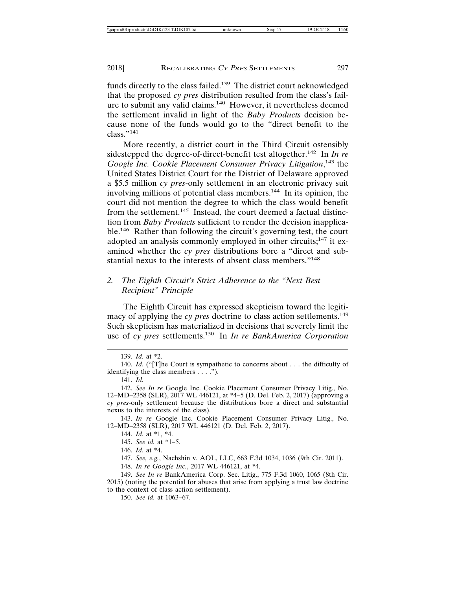funds directly to the class failed.139 The district court acknowledged that the proposed *cy pres* distribution resulted from the class's failure to submit any valid claims.140 However, it nevertheless deemed the settlement invalid in light of the *Baby Products* decision because none of the funds would go to the "direct benefit to the class."141

More recently, a district court in the Third Circuit ostensibly sidestepped the degree-of-direct-benefit test altogether.142 In *In re Google Inc. Cookie Placement Consumer Privacy Litigation*, 143 the United States District Court for the District of Delaware approved a \$5.5 million *cy pres*-only settlement in an electronic privacy suit involving millions of potential class members.<sup>144</sup> In its opinion, the court did not mention the degree to which the class would benefit from the settlement.<sup>145</sup> Instead, the court deemed a factual distinction from *Baby Products* sufficient to render the decision inapplicable.146 Rather than following the circuit's governing test, the court adopted an analysis commonly employed in other circuits;<sup>147</sup> it examined whether the *cy pres* distributions bore a "direct and substantial nexus to the interests of absent class members."<sup>148</sup>

#### *2. The Eighth Circuit's Strict Adherence to the "Next Best Recipient" Principle*

The Eighth Circuit has expressed skepticism toward the legitimacy of applying the *cy pres* doctrine to class action settlements.<sup>149</sup> Such skepticism has materialized in decisions that severely limit the use of *cy pres* settlements.150 In *In re BankAmerica Corporation*

143. *In re* Google Inc. Cookie Placement Consumer Privacy Litig., No. 12–MD–2358 (SLR), 2017 WL 446121 (D. Del. Feb. 2, 2017).

147. *See, e.g.*, Nachshin v. AOL, LLC, 663 F.3d 1034, 1036 (9th Cir. 2011).

148. *In re Google Inc.*, 2017 WL 446121, at \*4.

150. *See id.* at 1063–67.

<sup>139.</sup> *Id.* at \*2.

<sup>140.</sup> *Id.* ("[T]he Court is sympathetic to concerns about . . . the difficulty of identifying the class members . . . .").

<sup>141.</sup> *Id.*

<sup>142.</sup> *See In re* Google Inc. Cookie Placement Consumer Privacy Litig., No. 12–MD–2358 (SLR), 2017 WL 446121, at \*4–5 (D. Del. Feb. 2, 2017) (approving a *cy pres*-only settlement because the distributions bore a direct and substantial nexus to the interests of the class).

<sup>144.</sup> *Id.* at \*1, \*4.

<sup>145.</sup> *See id.* at \*1–5.

<sup>146.</sup> *Id.* at \*4.

<sup>149.</sup> *See In re* BankAmerica Corp. Sec. Litig., 775 F.3d 1060, 1065 (8th Cir. 2015) (noting the potential for abuses that arise from applying a trust law doctrine to the context of class action settlement).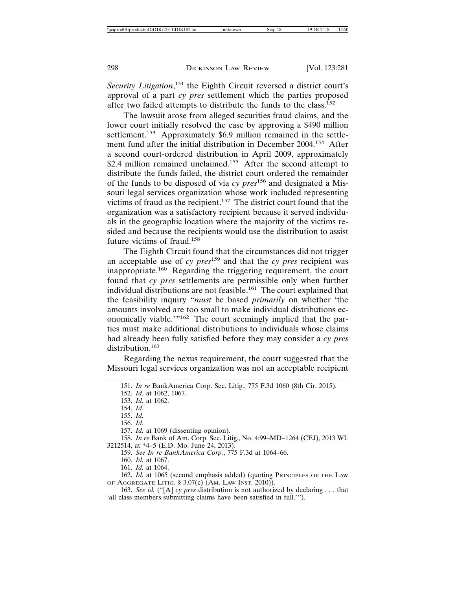Security Litigation,<sup>151</sup> the Eighth Circuit reversed a district court's approval of a part *cy pres* settlement which the parties proposed after two failed attempts to distribute the funds to the class.152

The lawsuit arose from alleged securities fraud claims, and the lower court initially resolved the case by approving a \$490 million settlement.<sup>153</sup> Approximately \$6.9 million remained in the settlement fund after the initial distribution in December 2004.154 After a second court-ordered distribution in April 2009, approximately \$2.4 million remained unclaimed.<sup>155</sup> After the second attempt to distribute the funds failed, the district court ordered the remainder of the funds to be disposed of via *cy pres*156 and designated a Missouri legal services organization whose work included representing victims of fraud as the recipient.157 The district court found that the organization was a satisfactory recipient because it served individuals in the geographic location where the majority of the victims resided and because the recipients would use the distribution to assist future victims of fraud.<sup>158</sup>

The Eighth Circuit found that the circumstances did not trigger an acceptable use of *cy pres*159 and that the *cy pres* recipient was inappropriate.160 Regarding the triggering requirement, the court found that *cy pres* settlements are permissible only when further individual distributions are not feasible.<sup>161</sup> The court explained that the feasibility inquiry "*must* be based *primarily* on whether 'the amounts involved are too small to make individual distributions economically viable.'"162 The court seemingly implied that the parties must make additional distributions to individuals whose claims had already been fully satisfied before they may consider a *cy pres* distribution.<sup>163</sup>

Regarding the nexus requirement, the court suggested that the Missouri legal services organization was not an acceptable recipient

158. *In re* Bank of Am. Corp. Sec. Litig., No. 4:99–MD–1264 (CEJ), 2013 WL 3212514, at \*4–5 (E.D. Mo. June 24, 2013).

159. *See In re BankAmerica Corp.*, 775 F.3d at 1064–66.

160. *Id.* at 1067.

161. *Id.* at 1064.

162. *Id.* at 1065 (second emphasis added) (quoting PRINCIPLES OF THE LAW OF AGGREGATE LITIG. § 3.07(c) (AM. LAW INST. 2010)).

163. *See id.* ("[A] *cy pres* distribution is not authorized by declaring . . . that 'all class members submitting claims have been satisfied in full.'").

<sup>151.</sup> *In re* BankAmerica Corp. Sec. Litig., 775 F.3d 1060 (8th Cir. 2015).

<sup>152.</sup> *Id.* at 1062, 1067.

<sup>153.</sup> *Id.* at 1062.

<sup>154.</sup> *Id.*

<sup>155.</sup> *Id.*

<sup>156.</sup> *Id.*

<sup>157.</sup> *Id.* at 1069 (dissenting opinion).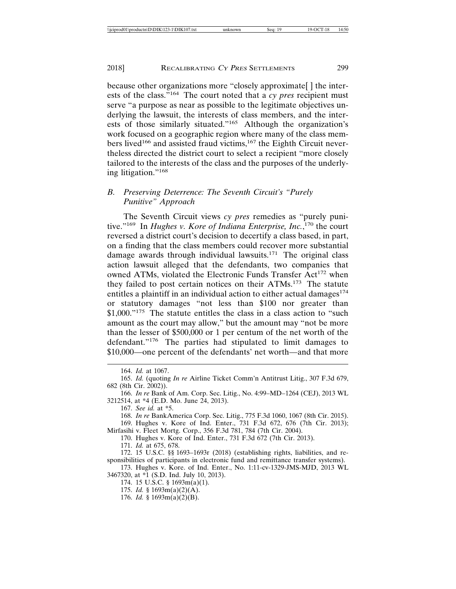because other organizations more "closely approximate[ ] the interests of the class."164 The court noted that a *cy pres* recipient must serve "a purpose as near as possible to the legitimate objectives underlying the lawsuit, the interests of class members, and the interests of those similarly situated."165 Although the organization's work focused on a geographic region where many of the class members lived<sup>166</sup> and assisted fraud victims,<sup>167</sup> the Eighth Circuit nevertheless directed the district court to select a recipient "more closely tailored to the interests of the class and the purposes of the underlying litigation."<sup>168</sup>

#### *B. Preserving Deterrence: The Seventh Circuit's "Purely Punitive" Approach*

The Seventh Circuit views *cy pres* remedies as "purely punitive."<sup>169</sup> In *Hughes v. Kore of Indiana Enterprise, Inc.*,<sup>170</sup> the court reversed a district court's decision to decertify a class based, in part, on a finding that the class members could recover more substantial damage awards through individual lawsuits.<sup>171</sup> The original class action lawsuit alleged that the defendants, two companies that owned ATMs, violated the Electronic Funds Transfer Act<sup>172</sup> when they failed to post certain notices on their ATMs.173 The statute entitles a plaintiff in an individual action to either actual damages $174$ or statutory damages "not less than \$100 nor greater than \$1,000."<sup>175</sup> The statute entitles the class in a class action to "such amount as the court may allow," but the amount may "not be more than the lesser of \$500,000 or 1 per centum of the net worth of the defendant."176 The parties had stipulated to limit damages to \$10,000—one percent of the defendants' net worth—and that more

169. Hughes v. Kore of Ind. Enter., 731 F.3d 672, 676 (7th Cir. 2013); Mirfasihi v. Fleet Mortg. Corp., 356 F.3d 781, 784 (7th Cir. 2004).

170. Hughes v. Kore of Ind. Enter., 731 F.3d 672 (7th Cir. 2013).

171. *Id.* at 675, 678.

172. 15 U.S.C. §§ 1693–1693r (2018) (establishing rights, liabilities, and responsibilities of participants in electronic fund and remittance transfer systems).

173. Hughes v. Kore. of Ind. Enter., No. 1:11-cv-1329-JMS-MJD, 2013 WL 3467320, at \*1 (S.D. Ind. July 10, 2013).

174. 15 U.S.C. § 1693m(a)(1).

175. *Id.* § 1693m(a)(2)(A).

176. *Id.* § 1693m(a)(2)(B).

<sup>164.</sup> *Id.* at 1067.

<sup>165.</sup> *Id.* (quoting *In re* Airline Ticket Comm'n Antitrust Litig., 307 F.3d 679, 682 (8th Cir. 2002)).

<sup>166.</sup> *In re* Bank of Am. Corp. Sec. Litig., No. 4:99–MD–1264 (CEJ), 2013 WL 3212514, at \*4 (E.D. Mo. June 24, 2013).

<sup>167.</sup> *See id.* at \*5.

<sup>168.</sup> *In re* BankAmerica Corp. Sec. Litig., 775 F.3d 1060, 1067 (8th Cir. 2015).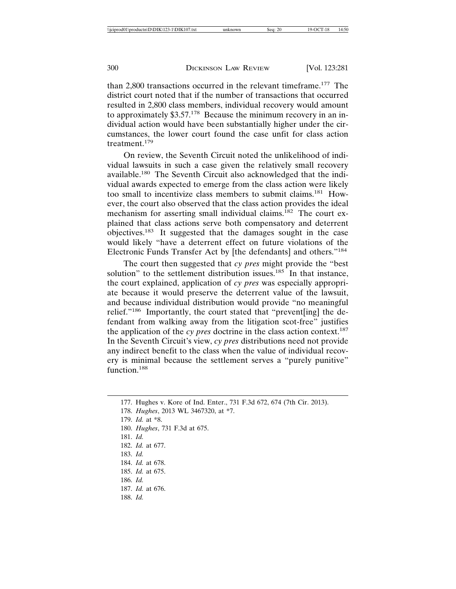than 2,800 transactions occurred in the relevant timeframe.177 The district court noted that if the number of transactions that occurred resulted in 2,800 class members, individual recovery would amount to approximately \$3.57.178 Because the minimum recovery in an individual action would have been substantially higher under the circumstances, the lower court found the case unfit for class action treatment.179

On review, the Seventh Circuit noted the unlikelihood of individual lawsuits in such a case given the relatively small recovery available.180 The Seventh Circuit also acknowledged that the individual awards expected to emerge from the class action were likely too small to incentivize class members to submit claims.181 However, the court also observed that the class action provides the ideal mechanism for asserting small individual claims.<sup>182</sup> The court explained that class actions serve both compensatory and deterrent objectives.183 It suggested that the damages sought in the case would likely "have a deterrent effect on future violations of the Electronic Funds Transfer Act by [the defendants] and others."<sup>184</sup>

The court then suggested that *cy pres* might provide the "best solution" to the settlement distribution issues.<sup>185</sup> In that instance, the court explained, application of *cy pres* was especially appropriate because it would preserve the deterrent value of the lawsuit, and because individual distribution would provide "no meaningful relief."186 Importantly, the court stated that "prevent[ing] the defendant from walking away from the litigation scot-free" justifies the application of the *cy pres* doctrine in the class action context.187 In the Seventh Circuit's view, *cy pres* distributions need not provide any indirect benefit to the class when the value of individual recovery is minimal because the settlement serves a "purely punitive" function.<sup>188</sup>

178. *Hughes*, 2013 WL 3467320, at \*7.

- 180. *Hughes*, 731 F.3d at 675.
- 181. *Id.*
- 182. *Id.* at 677.
- 183. *Id.*
- 184. *Id.* at 678.
- 185. *Id.* at 675.
- 186. *Id.*
- 187. *Id.* at 676.
- 188. *Id.*

<sup>177.</sup> Hughes v. Kore of Ind. Enter., 731 F.3d 672, 674 (7th Cir. 2013).

<sup>179.</sup> *Id.* at \*8.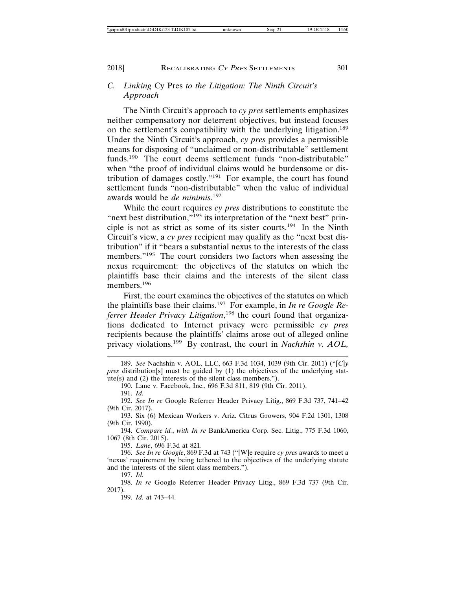#### *C. Linking* Cy Pres *to the Litigation: The Ninth Circuit's Approach*

The Ninth Circuit's approach to *cy pres* settlements emphasizes neither compensatory nor deterrent objectives, but instead focuses on the settlement's compatibility with the underlying litigation.<sup>189</sup> Under the Ninth Circuit's approach, *cy pres* provides a permissible means for disposing of "unclaimed or non-distributable" settlement funds.<sup>190</sup> The court deems settlement funds "non-distributable" when "the proof of individual claims would be burdensome or distribution of damages costly."191 For example, the court has found settlement funds "non-distributable" when the value of individual awards would be *de minimis*. 192

While the court requires *cy pres* distributions to constitute the "next best distribution,"<sup>193</sup> its interpretation of the "next best" principle is not as strict as some of its sister courts.194 In the Ninth Circuit's view, a *cy pres* recipient may qualify as the "next best distribution" if it "bears a substantial nexus to the interests of the class members."195 The court considers two factors when assessing the nexus requirement: the objectives of the statutes on which the plaintiffs base their claims and the interests of the silent class members.196

First, the court examines the objectives of the statutes on which the plaintiffs base their claims.197 For example, in *In re Google Referrer Header Privacy Litigation*, 198 the court found that organizations dedicated to Internet privacy were permissible *cy pres* recipients because the plaintiffs' claims arose out of alleged online privacy violations.199 By contrast, the court in *Nachshin v. AOL,*

194. *Compare id.*, *with In re* BankAmerica Corp. Sec. Litig., 775 F.3d 1060, 1067 (8th Cir. 2015).

195. *Lane*, 696 F.3d at 821.

196. *See In re Google*, 869 F.3d at 743 ("[W]e require *cy pres* awards to meet a 'nexus' requirement by being tethered to the objectives of the underlying statute and the interests of the silent class members.").

197. *Id.*

<sup>189.</sup> *See* Nachshin v. AOL, LLC, 663 F.3d 1034, 1039 (9th Cir. 2011) ("[*C*]*y pres* distribution[s] must be guided by (1) the objectives of the underlying statute(s) and (2) the interests of the silent class members.").

<sup>190.</sup> Lane v. Facebook, Inc., 696 F.3d 811, 819 (9th Cir. 2011).

<sup>191.</sup> *Id.*

<sup>192.</sup> *See In re* Google Referrer Header Privacy Litig., 869 F.3d 737, 741–42 (9th Cir. 2017).

<sup>193.</sup> Six (6) Mexican Workers v. Ariz. Citrus Growers, 904 F.2d 1301, 1308 (9th Cir. 1990).

<sup>198.</sup> *In re* Google Referrer Header Privacy Litig., 869 F.3d 737 (9th Cir. 2017).

<sup>199.</sup> *Id.* at 743–44.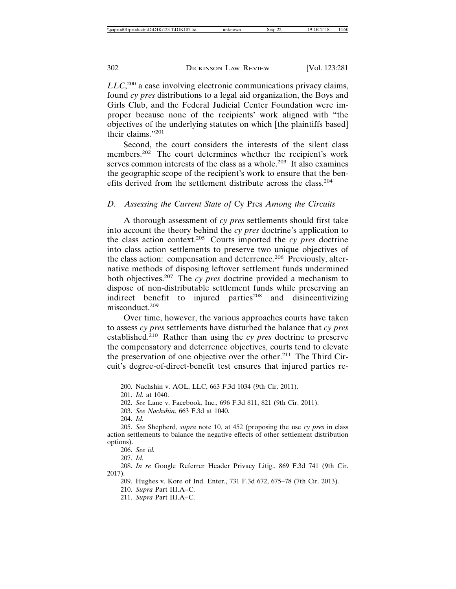*LLC*, 200 a case involving electronic communications privacy claims, found *cy pres* distributions to a legal aid organization, the Boys and Girls Club, and the Federal Judicial Center Foundation were improper because none of the recipients' work aligned with "the objectives of the underlying statutes on which [the plaintiffs based] their claims."201

Second, the court considers the interests of the silent class members.<sup>202</sup> The court determines whether the recipient's work serves common interests of the class as a whole.<sup>203</sup> It also examines the geographic scope of the recipient's work to ensure that the benefits derived from the settlement distribute across the class.<sup>204</sup>

#### *D. Assessing the Current State of* Cy Pres *Among the Circuits*

A thorough assessment of *cy pres* settlements should first take into account the theory behind the *cy pres* doctrine's application to the class action context.205 Courts imported the *cy pres* doctrine into class action settlements to preserve two unique objectives of the class action: compensation and deterrence.<sup>206</sup> Previously, alternative methods of disposing leftover settlement funds undermined both objectives.207 The *cy pres* doctrine provided a mechanism to dispose of non-distributable settlement funds while preserving an indirect benefit to injured parties $208$  and disincentivizing misconduct.209

Over time, however, the various approaches courts have taken to assess *cy pres* settlements have disturbed the balance that *cy pres* established.<sup>210</sup> Rather than using the *cy pres* doctrine to preserve the compensatory and deterrence objectives, courts tend to elevate the preservation of one objective over the other.<sup>211</sup> The Third Circuit's degree-of-direct-benefit test ensures that injured parties re-

203. *See Nachshin*, 663 F.3d at 1040.

204. *Id.*

205. *See* Shepherd, *supra* note 10, at 452 (proposing the use *cy pres* in class action settlements to balance the negative effects of other settlement distribution options).

206. *See id.*

207. *Id.*

208. *In re* Google Referrer Header Privacy Litig., 869 F.3d 741 (9th Cir. 2017).

209. Hughes v. Kore of Ind. Enter., 731 F.3d 672, 675–78 (7th Cir. 2013).

210. *Supra* Part III.A–C.

211. *Supra* Part III.A–C.

<sup>200.</sup> Nachshin v. AOL, LLC, 663 F.3d 1034 (9th Cir. 2011).

<sup>201.</sup> *Id.* at 1040.

<sup>202.</sup> *See* Lane v. Facebook, Inc., 696 F.3d 811, 821 (9th Cir. 2011).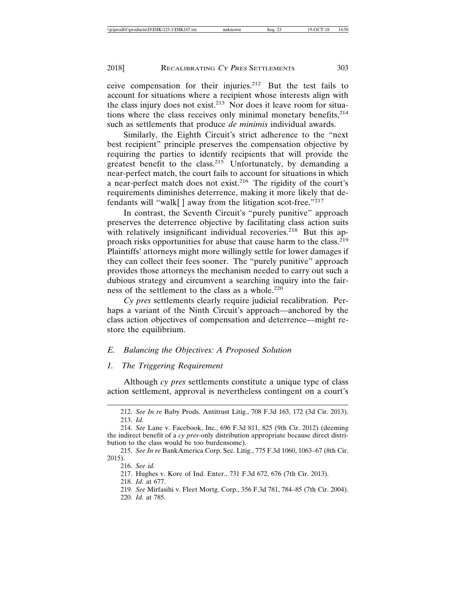ceive compensation for their injuries.212 But the test fails to account for situations where a recipient whose interests align with the class injury does not exist.<sup>213</sup> Nor does it leave room for situations where the class receives only minimal monetary benefits, <sup>214</sup> such as settlements that produce *de minimis* individual awards.

Similarly, the Eighth Circuit's strict adherence to the "next best recipient" principle preserves the compensation objective by requiring the parties to identify recipients that will provide the greatest benefit to the class.<sup>215</sup> Unfortunately, by demanding a near-perfect match, the court fails to account for situations in which a near-perfect match does not exist.216 The rigidity of the court's requirements diminishes deterrence, making it more likely that defendants will "walk[] away from the litigation scot-free." $217$ 

In contrast, the Seventh Circuit's "purely punitive" approach preserves the deterrence objective by facilitating class action suits with relatively insignificant individual recoveries.<sup>218</sup> But this approach risks opportunities for abuse that cause harm to the class.<sup>219</sup> Plaintiffs' attorneys might more willingly settle for lower damages if they can collect their fees sooner. The "purely punitive" approach provides those attorneys the mechanism needed to carry out such a dubious strategy and circumvent a searching inquiry into the fairness of the settlement to the class as a whole.<sup>220</sup>

*Cy pres* settlements clearly require judicial recalibration. Perhaps a variant of the Ninth Circuit's approach—anchored by the class action objectives of compensation and deterrence—might restore the equilibrium.

#### *E. Balancing the Objectives: A Proposed Solution*

#### *1. The Triggering Requirement*

Although *cy pres* settlements constitute a unique type of class action settlement, approval is nevertheless contingent on a court's

<sup>212.</sup> *See In re* Baby Prods. Antitrust Litig., 708 F.3d 163, 172 (3d Cir. 2013). 213. *Id.*

<sup>214.</sup> *See* Lane v. Facebook, Inc., 696 F.3d 811, 825 (9th Cir. 2012) (deeming the indirect benefit of a *cy pres*-only distribution appropriate because direct distribution to the class would be too burdensome).

<sup>215.</sup> *See In re* BankAmerica Corp. Sec. Litig., 775 F.3d 1060, 1063–67 (8th Cir. 2015).

<sup>216.</sup> *See id.*

<sup>217.</sup> Hughes v. Kore of Ind. Enter., 731 F.3d 672, 676 (7th Cir. 2013).

<sup>218.</sup> *Id.* at 677.

<sup>219.</sup> *See* Mirfasihi v. Fleet Mortg. Corp., 356 F.3d 781, 784–85 (7th Cir. 2004).

<sup>220.</sup> *Id.* at 785.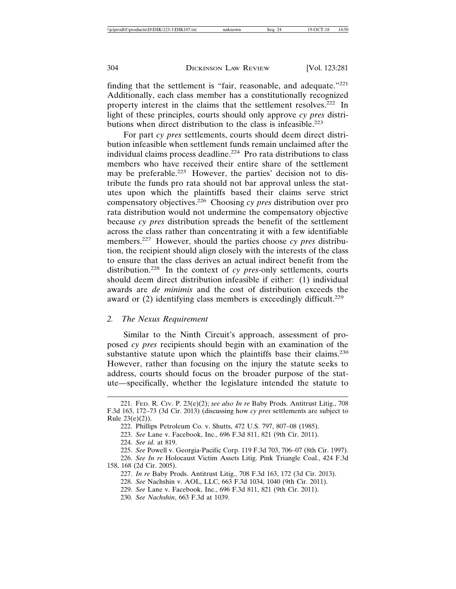finding that the settlement is "fair, reasonable, and adequate."<sup>221</sup> Additionally, each class member has a constitutionally recognized property interest in the claims that the settlement resolves.222 In light of these principles, courts should only approve *cy pres* distributions when direct distribution to the class is infeasible.<sup>223</sup>

For part *cy pres* settlements, courts should deem direct distribution infeasible when settlement funds remain unclaimed after the individual claims process deadline.224 Pro rata distributions to class members who have received their entire share of the settlement may be preferable.<sup>225</sup> However, the parties' decision not to distribute the funds pro rata should not bar approval unless the statutes upon which the plaintiffs based their claims serve strict compensatory objectives.226 Choosing *cy pres* distribution over pro rata distribution would not undermine the compensatory objective because *cy pres* distribution spreads the benefit of the settlement across the class rather than concentrating it with a few identifiable members.227 However, should the parties choose *cy pres* distribution, the recipient should align closely with the interests of the class to ensure that the class derives an actual indirect benefit from the distribution.228 In the context of *cy pres*-only settlements, courts should deem direct distribution infeasible if either: (1) individual awards are *de minimis* and the cost of distribution exceeds the award or  $(2)$  identifying class members is exceedingly difficult.<sup>229</sup>

#### *2. The Nexus Requirement*

Similar to the Ninth Circuit's approach, assessment of proposed *cy pres* recipients should begin with an examination of the substantive statute upon which the plaintiffs base their claims.<sup>230</sup> However, rather than focusing on the injury the statute seeks to address, courts should focus on the broader purpose of the statute—specifically, whether the legislature intended the statute to

226. *See In re* Holocaust Victim Assets Litig. Pink Triangle Coal., 424 F.3d 158, 168 (2d Cir. 2005).

<sup>221.</sup> FED. R. CIV. P. 23(e)(2); *see also In re* Baby Prods. Antitrust Litig., 708 F.3d 163, 172–73 (3d Cir. 2013) (discussing how *cy pres* settlements are subject to Rule 23(e)(2)).

<sup>222.</sup> Phillips Petroleum Co. v. Shutts, 472 U.S. 797, 807–08 (1985).

<sup>223.</sup> *See* Lane v. Facebook, Inc., 696 F.3d 811, 821 (9th Cir. 2011).

<sup>224.</sup> *See id.* at 819.

<sup>225.</sup> *See* Powell v. Georgia-Pacific Corp. 119 F.3d 703, 706–07 (8th Cir. 1997).

<sup>227.</sup> *In re* Baby Prods. Antitrust Litig., 708 F.3d 163, 172 (3d Cir. 2013).

<sup>228.</sup> *See* Nachshin v. AOL, LLC, 663 F.3d 1034, 1040 (9th Cir. 2011).

<sup>229.</sup> *See* Lane v. Facebook, Inc., 696 F.3d 811, 821 (9th Cir. 2011).

<sup>230.</sup> *See Nachshin*, 663 F.3d at 1039.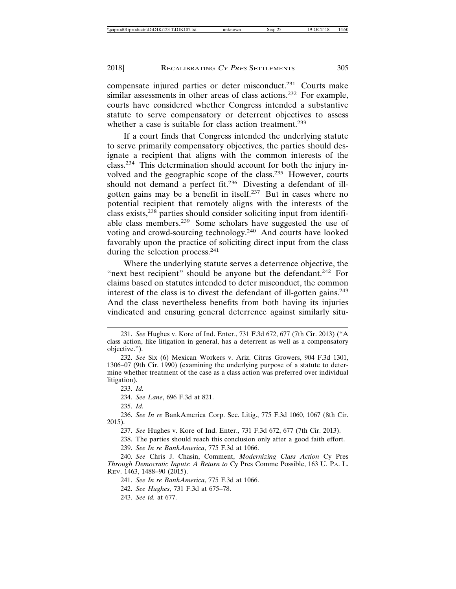compensate injured parties or deter misconduct.231 Courts make similar assessments in other areas of class actions.<sup>232</sup> For example, courts have considered whether Congress intended a substantive statute to serve compensatory or deterrent objectives to assess whether a case is suitable for class action treatment.<sup>233</sup>

If a court finds that Congress intended the underlying statute to serve primarily compensatory objectives, the parties should designate a recipient that aligns with the common interests of the class.234 This determination should account for both the injury involved and the geographic scope of the class.235 However, courts should not demand a perfect fit.<sup>236</sup> Divesting a defendant of illgotten gains may be a benefit in itself.237 But in cases where no potential recipient that remotely aligns with the interests of the class exists,238 parties should consider soliciting input from identifiable class members.239 Some scholars have suggested the use of voting and crowd-sourcing technology.240 And courts have looked favorably upon the practice of soliciting direct input from the class during the selection process.<sup>241</sup>

Where the underlying statute serves a deterrence objective, the "next best recipient" should be anyone but the defendant.<sup>242</sup> For claims based on statutes intended to deter misconduct, the common interest of the class is to divest the defendant of ill-gotten gains.<sup>243</sup> And the class nevertheless benefits from both having its injuries vindicated and ensuring general deterrence against similarly situ-

233. *Id.*

234. *See Lane*, 696 F.3d at 821.

235. *Id.*

236. *See In re* BankAmerica Corp. Sec. Litig., 775 F.3d 1060, 1067 (8th Cir. 2015).

237. *See* Hughes v. Kore of Ind. Enter., 731 F.3d 672, 677 (7th Cir. 2013).

238. The parties should reach this conclusion only after a good faith effort.

239. *See In re BankAmerica*, 775 F.3d at 1066.

240. *See* Chris J. Chasin, Comment, *Modernizing Class Action* Cy Pres *Through Democratic Inputs: A Return to* Cy Pres Comme Possible, 163 U. PA. L. REV. 1463, 1488–90 (2015).

241. *See In re BankAmerica*, 775 F.3d at 1066.

242. *See Hughes*, 731 F.3d at 675–78.

243. *See id.* at 677.

<sup>231.</sup> *See* Hughes v. Kore of Ind. Enter., 731 F.3d 672, 677 (7th Cir. 2013) ("A class action, like litigation in general, has a deterrent as well as a compensatory objective.").

<sup>232.</sup> *See* Six (6) Mexican Workers v. Ariz. Citrus Growers, 904 F.3d 1301, 1306–07 (9th Cir. 1990) (examining the underlying purpose of a statute to determine whether treatment of the case as a class action was preferred over individual litigation).